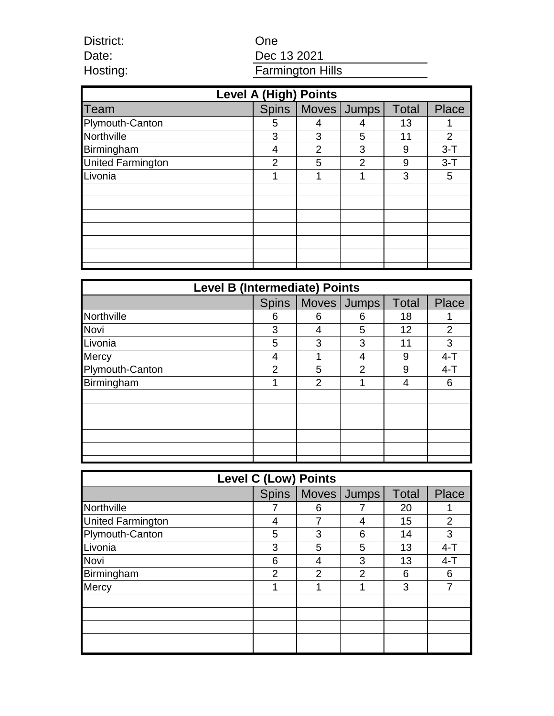One

District: Date: Hosting:

# Dec 13 2021 Farmington Hills

| <b>Level A (High) Points</b> |                |                |                |              |                |  |  |
|------------------------------|----------------|----------------|----------------|--------------|----------------|--|--|
| Team                         | <b>Spins</b>   |                | Moves Jumps    | <b>Total</b> | <b>Place</b>   |  |  |
| Plymouth-Canton              | 5              |                |                | 13           |                |  |  |
| Northville                   | 3              | 3              | 5              | 11           | $\overline{2}$ |  |  |
| Birmingham                   | 4              | $\overline{2}$ | 3              | 9            | $3 - T$        |  |  |
| <b>United Farmington</b>     | $\overline{2}$ | 5              | $\overline{2}$ | 9            | $3-T$          |  |  |
| Livonia                      |                |                |                | 3            | 5              |  |  |
|                              |                |                |                |              |                |  |  |
|                              |                |                |                |              |                |  |  |
|                              |                |                |                |              |                |  |  |
|                              |                |                |                |              |                |  |  |
|                              |                |                |                |              |                |  |  |
|                              |                |                |                |              |                |  |  |
|                              |                |                |                |              |                |  |  |

| <b>Level B (Intermediate) Points</b> |                |                |                |       |                |  |  |
|--------------------------------------|----------------|----------------|----------------|-------|----------------|--|--|
|                                      | <b>Spins</b>   |                | Moves Jumps    | Total | <b>Place</b>   |  |  |
| Northville                           | 6              | 6              | 6              | 18    |                |  |  |
| Novi                                 | 3              | 4              | 5              | 12    | $\overline{2}$ |  |  |
| Livonia                              | 5              | 3              | 3              | 11    | 3              |  |  |
| <b>Mercy</b>                         | 4              |                | 4              | 9     | $4 - T$        |  |  |
| Plymouth-Canton                      | $\overline{2}$ | 5              | $\overline{2}$ | 9     | $4 - T$        |  |  |
| Birmingham                           |                | $\overline{2}$ |                | 4     | 6              |  |  |
|                                      |                |                |                |       |                |  |  |
|                                      |                |                |                |       |                |  |  |
|                                      |                |                |                |       |                |  |  |
|                                      |                |                |                |       |                |  |  |
|                                      |                |                |                |       |                |  |  |
|                                      |                |                |                |       |                |  |  |

| <b>Level C (Low) Points</b> |                |                |                       |              |                |  |  |
|-----------------------------|----------------|----------------|-----------------------|--------------|----------------|--|--|
|                             |                |                | Spins   Moves   Jumps | <b>Total</b> | <b>Place</b>   |  |  |
| Northville                  |                | 6              |                       | 20           |                |  |  |
| <b>United Farmington</b>    | 4              | 7              | 4                     | 15           | $\overline{2}$ |  |  |
| Plymouth-Canton             | 5              | 3              | 6                     | 14           | 3              |  |  |
| Livonia                     | 3              | 5              | 5                     | 13           | $4-T$          |  |  |
| Novi                        | 6              | 4              | 3                     | 13           | $4 - T$        |  |  |
| Birmingham                  | $\overline{2}$ | $\overline{2}$ | 2                     | 6            | 6              |  |  |
| <b>Mercy</b>                |                |                |                       | 3            | ⇁              |  |  |
|                             |                |                |                       |              |                |  |  |
|                             |                |                |                       |              |                |  |  |
|                             |                |                |                       |              |                |  |  |
|                             |                |                |                       |              |                |  |  |
|                             |                |                |                       |              |                |  |  |